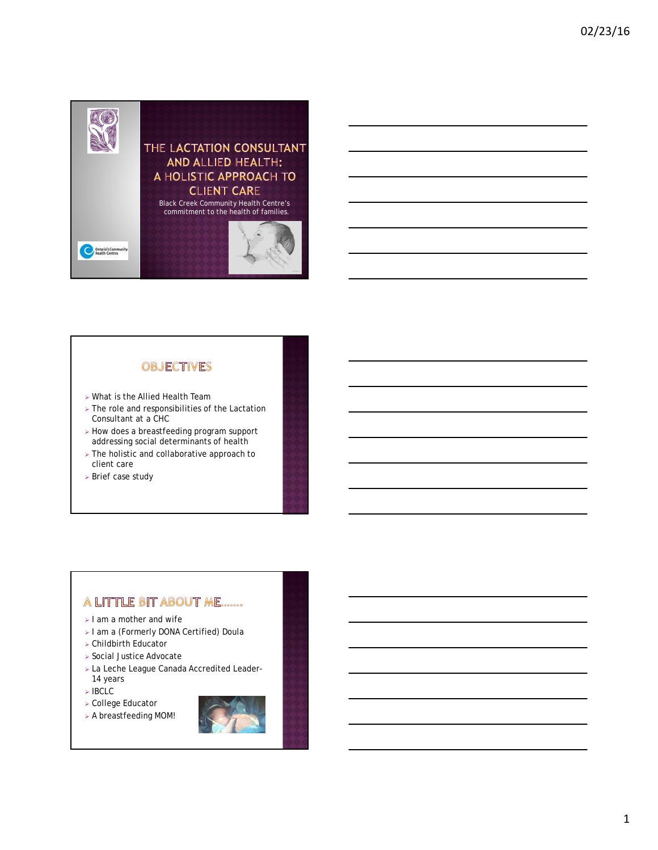

# **OBJECTIVES**

- What is the Allied Health Team
- $\triangleright$  The role and responsibilities of the Lactation Consultant at a CHC
- $\triangleright$  How does a breastfeeding program support addressing social determinants of health
- > The holistic and collaborative approach to client care
- Brief case study

# A LITTLE BIT ABOUT ME.......

- $>$  I am a mother and wife
- > I am a (Formerly DONA Certified) Doula
- Childbirth Educator
- Social Justice Advocate
- La Leche League Canada Accredited Leader-14 years
- IBCLC
- College Educator
- A breastfeeding MOM!

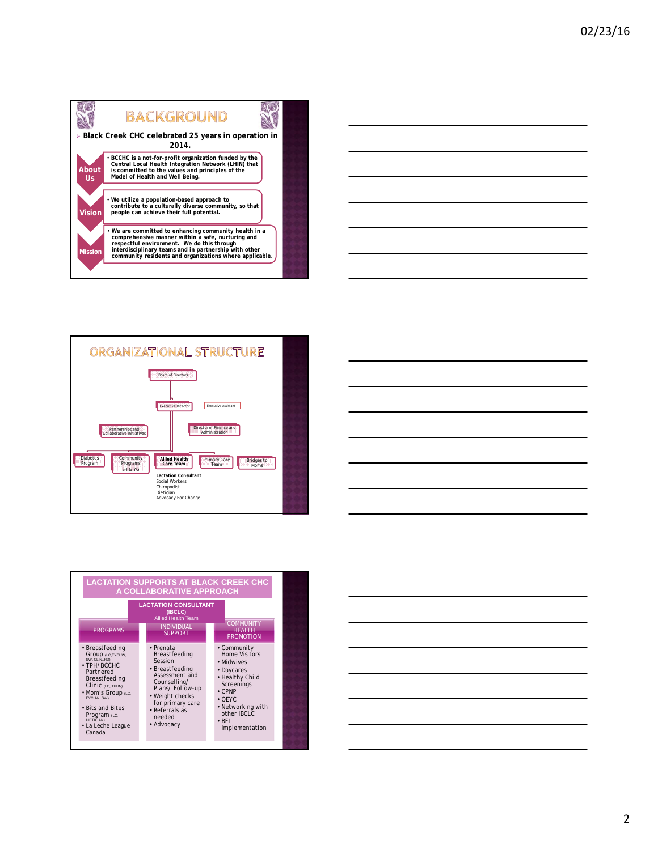







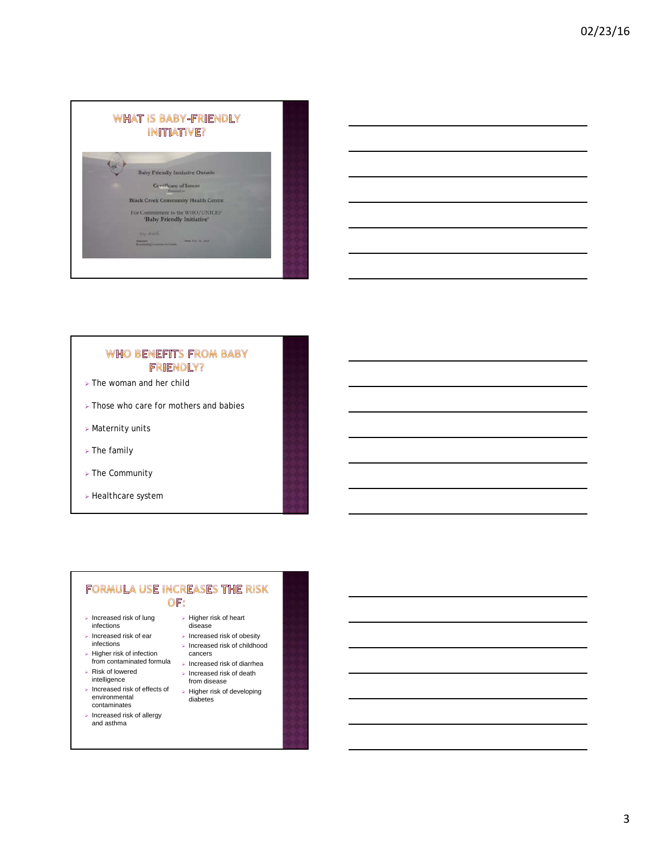

### **WHO BENEFITS FROM BABY FRIENDLY?**

- $\triangleright$  The woman and her child
- $\triangleright$  Those who care for mothers and babies
- Maternity units
- $\triangleright$  The family
- The Community
- $\triangleright$  Healthcare system

### FORMULA USE INCREASES THE RISK OF:

- $\triangleright$  Increased risk of lung infections
- $\triangleright$  Increased risk of ear infections
- $\triangleright$  Higher risk of infection
- Risk of lowered intelligence
- $\triangleright$  Increased risk of effects of environmental contaminates
- $\triangleright$  Increased risk of allergy and asthma
- $\triangleright$  Higher risk of heart disease  $\triangleright$  Increased risk of obesity
- $\triangleright$  Increased risk of childhood cancers
- from contaminated formula Increased risk of diarrhea
	- $\triangleright$  Increased risk of death from disease
	- > Higher risk of developing diabetes
		-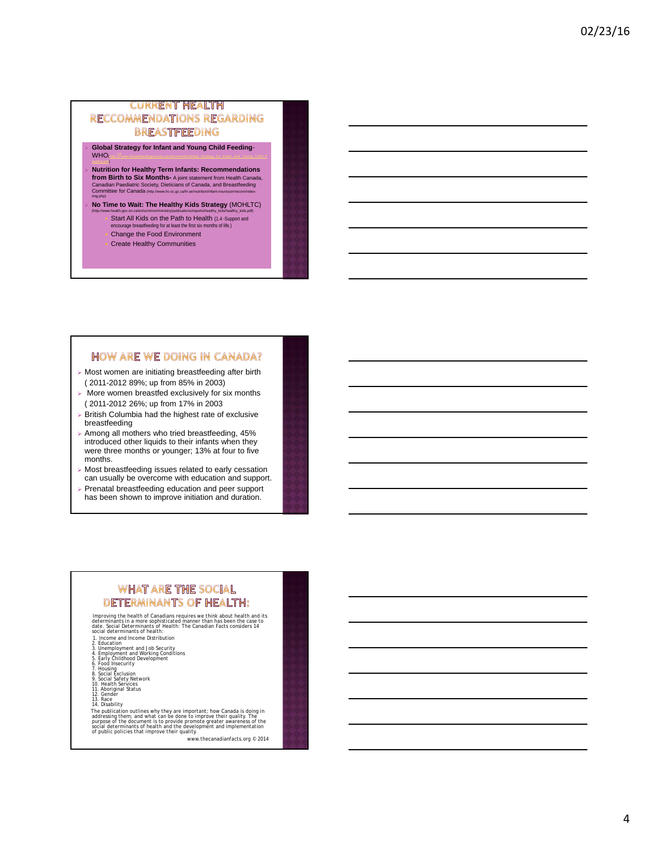### **CURRENT HEALTH** RECCOMMENDATIONS REGARDING **BREASTFEEDING**

- **Global Strategy for Infant and Young Child Feeding**- $WHO<sub>0</sub>$ eeding.pdf)
- **Nutrition for Healthy Term Infants: Recommendations from Birth to Six Months-** A joint statement from Health Canada,<br>Canadian Paediatric Society, Dieticians of Canada, and Breastfeeding<br>Committee for Canada <sub>(htp://www.ho-sc.gc.cal/h-an/ndrtilon/irlant-nourisson/recom/inde</sub>
- **No Time to Wait: The Healthy Kids Strategy** (MOHLTC)
	- Start All Kids on the Path to Health (1.4 -Support and encourage breastfeeding for at least the first six months of life.) eding for at least the first six months of life.) Change the Food Environment
	- Create Healthy Communities

### **HOW ARE WE DOING IN CANADA?**

- Most women are initiating breastfeeding after birth ( 2011-2012 89%; up from 85% in 2003)
- $\triangleright$  More women breastfed exclusively for six months ( 2011-2012 26%; up from 17% in 2003
- $\triangleright$  British Columbia had the highest rate of exclusive breastfeeding
- $\triangleright$  Among all mothers who tried breastfeeding, 45% introduced other liquids to their infants when they were three months or younger; 13% at four to five months.
- $\triangleright$  Most breastfeeding issues related to early cessation can usually be overcome with education and support.
- Prenatal breastfeeding education and peer support has been shown to improve initiation and duration.

# **WHAT ARE THE SOCIAL DETERMINANTS OF HEALTH:**

Improving the health of Canadians requires we think about health and its<br>determinants in a more sophisticated manner than has been the case to<br>date. *Social Determinants of Health: The Canadian Facts* considers 14<br>social d

- 
- 
- 2. Education<br>4. Employment and Job Security<br>5. Early Childhood Development<br>6. Food Insecurity<br>7. Housing<br>8. Social Exclusion<br>9. Social Exclusion<br>10. Health Services
- 
- 
- 
- 
- 
- 
- 

11. Aboriginal Status<br>12. Gender<br>13. Reace<br>The publication outlines why they are important; how Canada is doing in<br>13. Disability<br>The publication outlines why they are important; how Canada is doing in<br>purpose of the docum

www.thecanadianfacts.org © 2014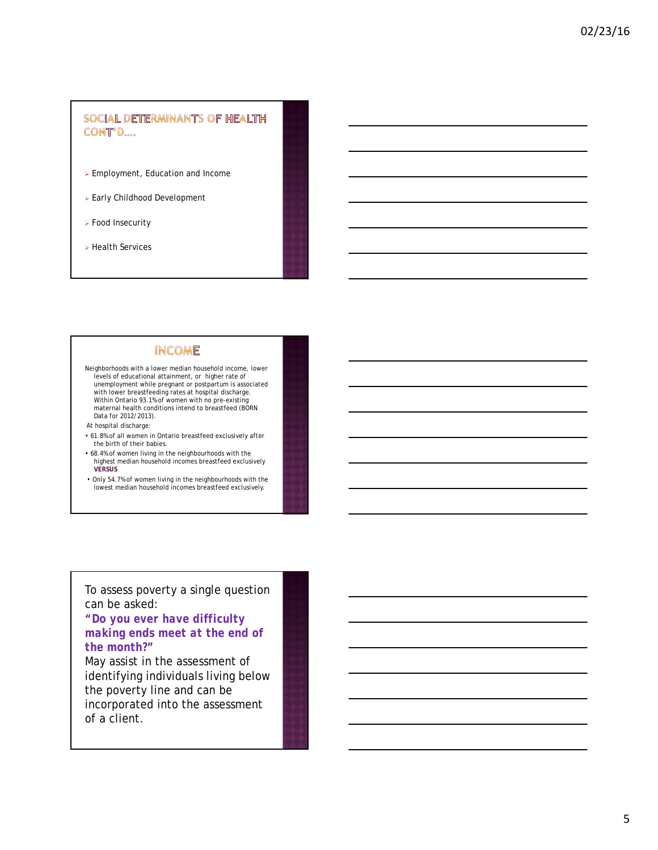## SOCIAL DETERMINANTS OF HEALTH CONT'D....

- Employment, Education and Income
- Early Childhood Development
- Food Insecurity
- Health Services

# **INCOME**

- Neighborhoods with a lower median household income, lower levels of educational attainment, or higher rate of unemployment while pregnant or postpartum is associated with lower breastfeeding rates at hospital discharge. Within Ontario 93.1% of women with no pre-existing maternal health conditions intend to breastfeed (BORN Data for 2012/2013).
- At hospital discharge:
- 61.8% of all women in Ontario breastfeed exclusively after the birth of their babies.
- 68.4% of women living in the neighbourhoods with the highest median household incomes breastfeed exclusively **VERSUS**
- Only 54.7% of women living in the neighbourhoods with the lowest median household incomes breastfeed exclusively.

# To assess poverty a single question can be asked:

# *"Do you ever have difficulty making ends meet at the end of the month?"*

May assist in the assessment of identifying individuals living below the poverty line and can be incorporated into the assessment of a client.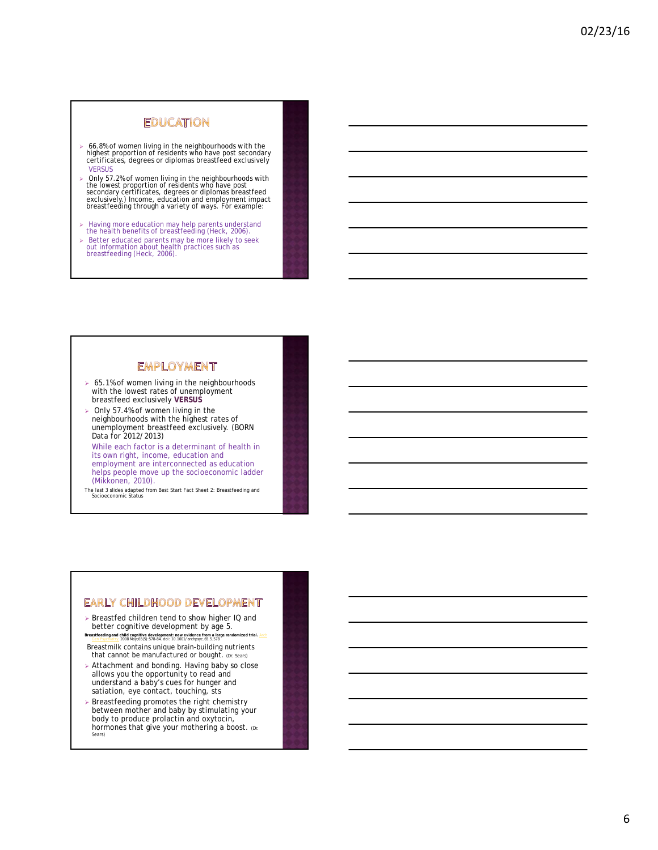# **EDUCATION**

- 66.8% of women living in the neighbourhoods with the highest proportion of residents who have post secondary certificates, degrees or diplomas breastfeed exclusively **VERSUS**
- > Only 57.2% of women living in the neighbourhoods with<br>the lowest proportion of residents who have post<br>secondary certificates, degrees or diplomas breastfeed<br>exclusively.) Income, education and employment impact<br>breastfe
- Having more education may help parents understand the health benefits of breastfeeding (Heck, 2006).
- Better educated parents may be more likely to seek out information about health practices such as breastfeeding (Heck, 2006).

### **EMPLOYMENT**

- ▶ 65.1% of women living in the neighbourhoods with the lowest rates of unemployment breastfeed exclusively **VERSUS**
- $>$  Only 57.4% of women living in the neighbourhoods with the highest rates of unemployment breastfeed exclusively. (BORN Data for 2012/2013)

While each factor is a determinant of health in its own right, income, education and employment are interconnected as education helps people move up the socioeconomic ladder (Mikkonen, 2010).

The last 3 slides adapted from Best Start Fact Sheet 2: Breastfeeding and Socioeconomic Status

#### EARLY CHILDHOOD DEVELOPMENT

- ▶ Breastfed children tend to show higher IQ and better cognitive development by age 5.
- **Breastfeeding and child cognitive development: new evidence from a large randomized trial.** Arch Gen Psychiatry. 2008 May;65(5):578-84. doi: 10.1001/archpsyc.65.5.578 Breastmilk contains unique brain-building nutrients that cannot be manufactured or bought. (Dr. Sears)
- Attachment and bonding. Having baby so close allows you the opportunity to read and understand a baby's cues for hunger and satiation, eye contact, touching, sts
- Breastfeeding promotes the right chemistry between mother and baby by stimulating your body to produce prolactin and oxytocin, hormones that give your mothering a boost. (Dr. Sears)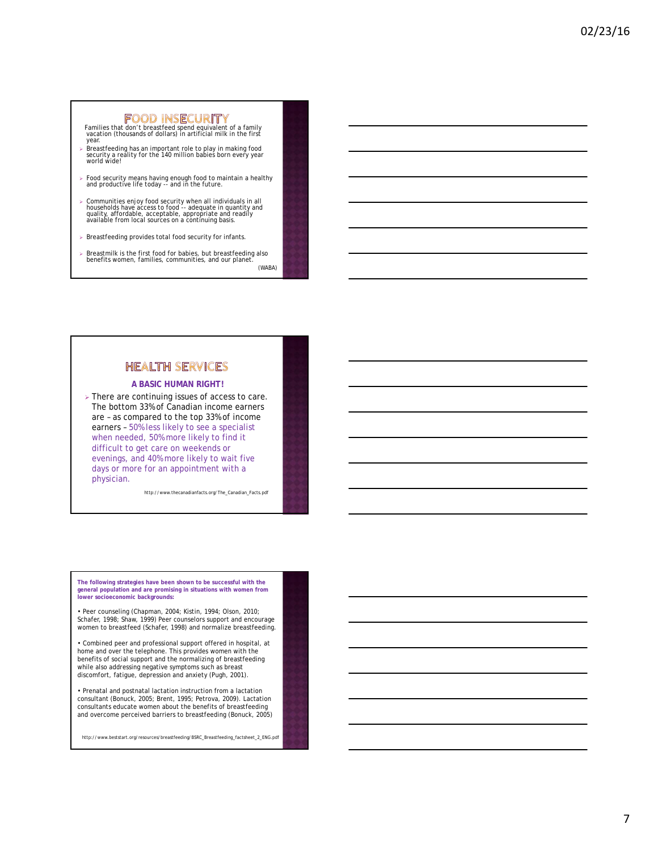Families that don't breastfeed spend equivalent of a family vacation (thousands of dollars) in artificial milk in the first year.

- Breastfeeding has an important role to play in making food security a reality for the 140 million babies born every year world wide!
- Food security means having enough food to maintain a healthy and productive life today -- and in the future.
- > Communities enjoy food security when all individuals in all<br>households have access to food -- adequate in quantity and<br>quality, affordable, acceptable, appropriate and readily<br>available from local sources on a continuing
- $\triangleright$  Breastfeeding provides total food security for infants.
- Breastmilk is the first food for babies, but breastfeeding also benefits women, families, communities, and our planet. (WABA)

# **HEALTH SERVICES**

#### **A BASIC HUMAN RIGHT!**

> There are continuing issues of access to care. The bottom 33% of Canadian income earners are – as compared to the top 33% of income earners – 50% less likely to see a specialist when needed, 50% more likely to find it difficult to get care on weekends or evenings, and 40% more likely to wait five days or more for an appointment with a physician.

http://www.thecanadianfacts.org/The\_Canadian\_Facts.pdf

**The following strategies have been shown to be successful with the general population and are promising in situations with women from lower socioeconomic backgrounds:** 

• Peer counseling (Chapman, 2004; Kistin, 1994; Olson, 2010; Schafer, 1998; Shaw, 1999) Peer counselors support and encourage women to breastfeed (Schafer, 1998) and normalize breastfeeding.

• Combined peer and professional support offered in hospital, at home and over the telephone. This provides women with the benefits of social support and the normalizing of breastfeeding while also addressing negative symptoms such as breast discomfort, fatigue, depression and anxiety (Pugh, 2001).

• Prenatal and postnatal lactation instruction from a lactation consultant (Bonuck, 2005; Brent, 1995; Petrova, 2009). Lactation consultants educate women about the benefits of breastfeeding and overcome perceived barriers to breastfeeding (Bonuck, 2005)

http://www.beststart.org/resources/breastfeeding/BSRC\_Breastfeeding\_factsheet\_2\_ENG.pdf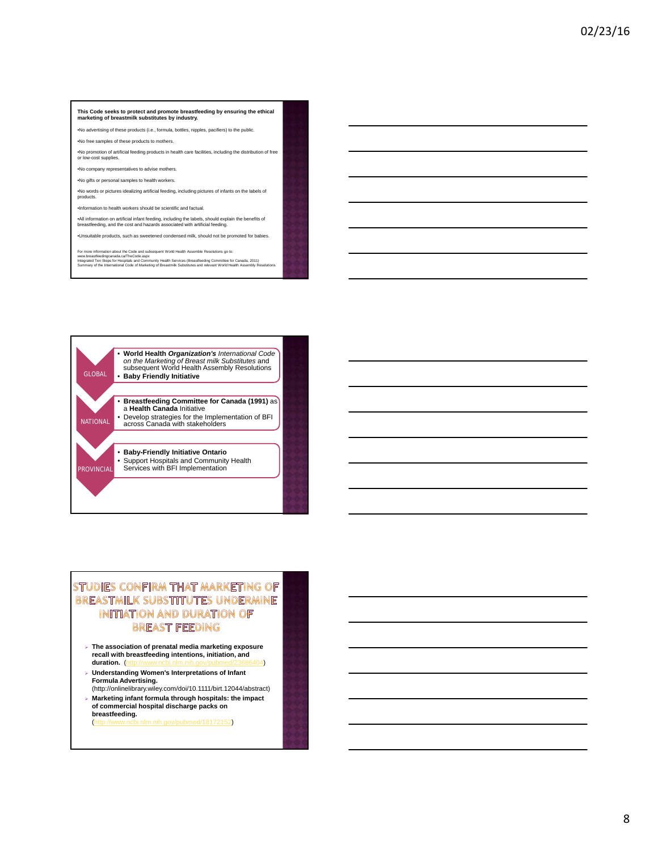### **This Code seeks to protect and promote breastfeeding by ensuring the ethical marketing of breastmilk substitutes by industry.**

•No advertising of these products (i.e., formula, bottles, nipples, pacifiers) to the public.

•No free samples of these products to mothers.

•No promotion of artificial feeding products in health care facilities, including the distribution of free or low-cost supplies.

•No company representatives to advise mothers.

•No gifts or personal samples to health workers.

•No words or pictures idealizing artificial feeding, including pictures of infants on the labels of products.

•Information to health workers should be scientific and factual.

•All information on artificial infant feeding, including the labels, should explain the benefits of breastfeeding, and the cost and hazards associated with artificial feeding.

•Unsuitable products, such as sweetened condensed milk, should not be promoted for babies.

For more information about the Code and subsequent World Health Assemble Resolutions go to:<br>www.breastfeedingcanada.ca/TheCode.aspx<br>Integrated Ten Steps for Hospitals and Community Health Services (Breastfeeding Committee



# STUDIES CONFIRM THAT MARKETING OF BREASTMILK SUBSTITUTES UNDERMINE INITIATION AND DURATION OF **BREAST FEEDING**

- **The association of prenatal media marketing exposure recall with breastfeeding intentions, initiation, and duration.** (http://www.ncbi.nlm.nih.gov/pubmed/23686404)
- **Understanding Women's Interpretations of Infant Formula Advertising.**
- (http://onlinelibrary.wiley.com/doi/10.1111/birt.12044/abstract) **Marketing infant formula through hospitals: the impact of commercial hospital discharge packs on breastfeeding.**

(http://www.ncbi.nlm.nih.gov/pubmed/18172152)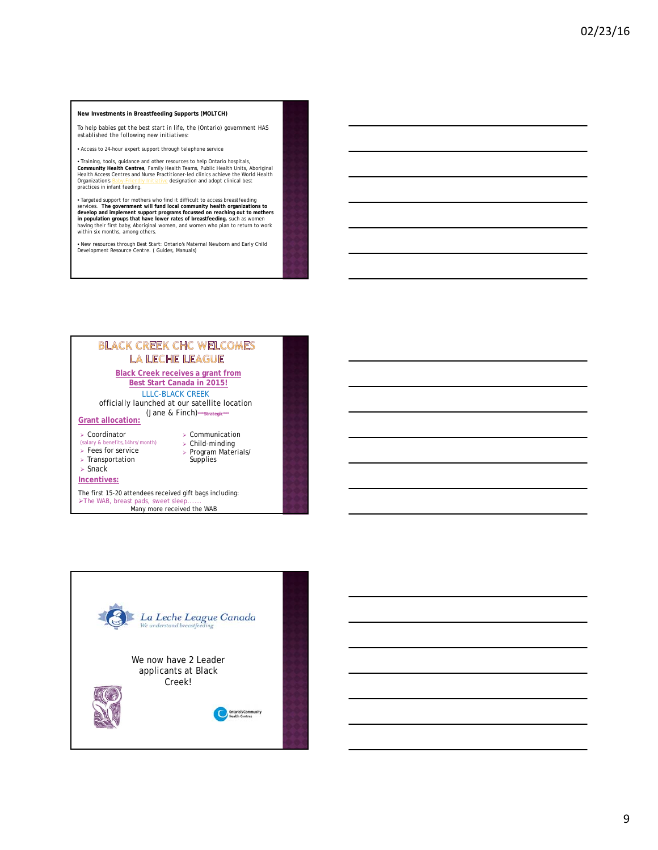#### **New Investments in Breastfeeding Supports (MOLTCH)**

*To help babies get the best start in life, the (Ontario) government HAS established the following new initiatives:*

• Access to 24-hour expert support through telephone service

• Training, tools, guidance and other resources to help Ontario hospitals,<br>Community Health Centres, Family Health Teams, Public Health Units, Aboriginal<br>Health Access Centres and Nurse Practitioner-led clinics achieve the

• Targeted support for mothers who find it difficult to access breastfeeding<br>services. The government will fund local community health organizations to<br>develop and implement support programs focussed on reaching out to mot

• New resources through Best Start: Ontario's Maternal Newborn and Early Child Development Resource Centre. ( Guides, Manuals)



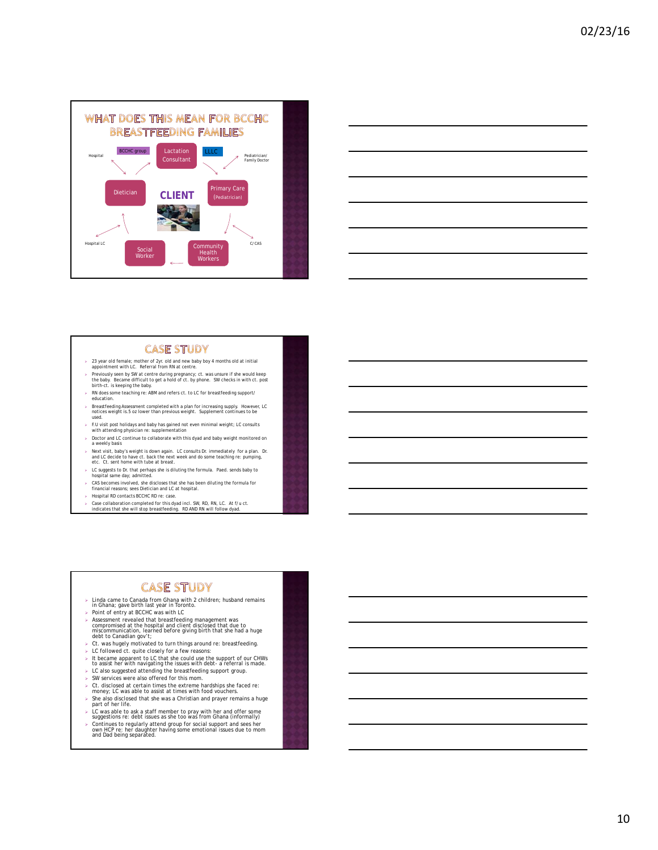



#### **CASE STUDY**

- 23 year old female; mother of 2yr. old and new baby boy 4 months old at initial appointment with LC. Referral from RN at centre.
- Previously seen by SW at centre during pregnancy; ct. was unsure if she would keep the baby. Became difficult to get a hold of ct. by phone. SW checks in with ct. post birth-ct. is keeping the baby.
- RN does some teaching re: ABM and refers ct. to LC for breastfeeding support/ education.
- Breastfeeding Assessment completed with a plan for increasing supply. However, LC notices weight is.5 oz lower than previous weight. Supplement continues to be used.
- $\triangleright$  F.U visit post holidays and baby has gained not even minimal weight; LC consults with attending physician re: supplementation
- $\triangleright$  Doctor and LC continue to collaborate with this dyad and baby weight monitored on a weekly basis
- Next visit, baby's weight is down again. LC consults Dr. immediately for a plan. Dr. and LC decide to have ct. back the next week and do some teaching re: pumping, etc. Ct. sent home with tube at breast.
- LC suggests to Dr. that perhaps she is diluting the formula. Paed. sends baby to hospital same day; admitted.
- $\geq$  CAS becomes involved, she discloses that she has been diluting the formula for financial reasons; sees Dietician and LC at hospital.
- Hospital RD contacts BCCHC RD re: case.
- $\geq$  Case collaboration completed for this dyad incl. SW, RD, RN, LC. At f/u ct. indicates that she will stop breastfeeding. RD AND RN will follow dyad.

# **CASE STUDY**

- > Linda came to Canada from Ghana with 2 children; husband remains<br>| in Ghana; gave birth last year in Toronto.<br>> Point of entry at BCCHC was with LC
- 
- > Assessment revealed that breastfeeding management was<br>compromised at the hospital and client disclosed that due to<br>miscommunication, learned before giving birth that she had a huge<br>debt to Canadian gov't;<br>> Ct. was hugel
- 
- 
- 
- LC followed ct. quite closely for a few reasons: It became apparent to LC that she could use the support of our CHWs to assist her with navigating the issues with debt- a referral is made.
- LC also suggested attending the breastfeeding support group. SW services were also offered for this mom.
- 
- Ct. disclosed at certain times the extreme hardships she faced re: money; LC was able to assist at times with food vouchers.
- $\triangleright$  She also disclosed that she was a Christian and prayer remains a huge
- part of her life. LC was able to ask a staff member to pray with her and offer some suggestions re: debt issues as she too was from Ghana (informally)
- Continues to regularly attend group for social support and sees her own HCP re: her daughter having some emotional issues due to mom and Dad being separated.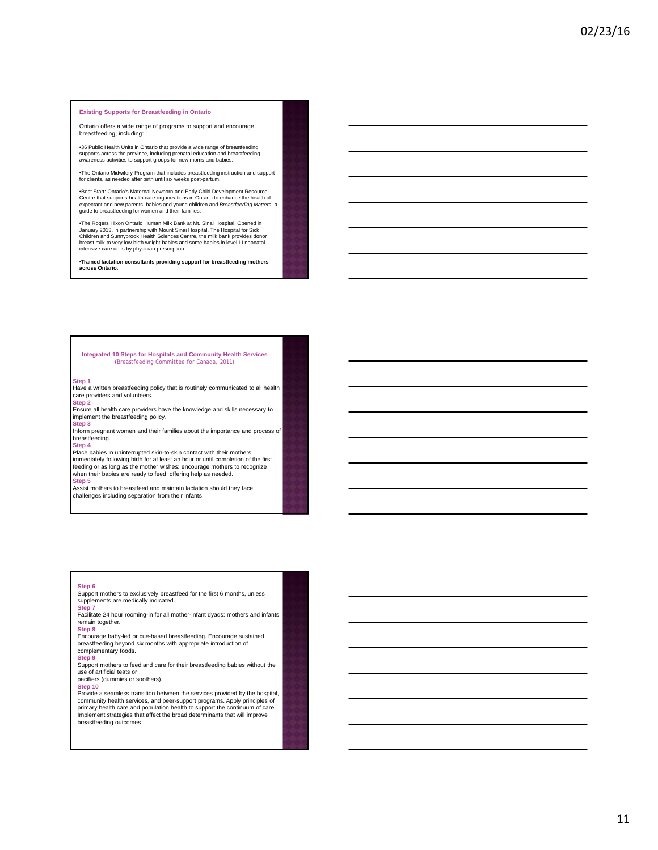#### **Existing Supports for Breastfeeding in Ontario**

Ontario offers a wide range of programs to support and encourage breastfeeding, including:

•36 Public Health Units in Ontario that provide a wide range of breastfeeding supports across the province, including prenatal education and breastfeeding awareness activities to support groups for new moms and babies.

•The Ontario Midwifery Program that includes breastfeeding instruction and support for clients, as needed after birth until six weeks post-partum.

∙Best Start: Ontario's Maternal Newborn and Early Child Development Resource<br>Centre that supports health care organizations in Ontario to enhance the health of<br>expectant and new parents, babies and young children and *Bre* guide to breastfeeding for women and their families.

∙The Rogers Hixon Ontario Human Milk Bank at Mt. Sinai Hospital. Opened in<br>January 2013, in partnership with Mount Sinai Hospital, The Hospital for Sick<br>Children and Sunnybrook Health Sciences Centre, the milk bank provid breast milk to very low birth weight babies and some babies in level III neonatal intensive care units by physician prescription.

•**Trained lactation consultants providing support for breastfeeding mothers across Ontario.**

# **Integrated 10 Steps for Hospitals and Community Health Services (**Breastfeeding Committee for Canada, 2011)

#### **Step 1**

Have a written breastfeeding policy that is routinely communicated to all health care providers and volunteers. **Step 2** 

Ensure all health care providers have the knowledge and skills necessary to implement the breastfeeding policy. **Step 3**

Inform pregnant women and their families about the importance and process of breastfeeding.

#### **Step 4**

Place babies in uninterrupted skin-to-skin contact with their mothers immediately following birth for at least an hour or until completion of the first feeding or as long as the mother wishes: encourage mothers to recognize when their babies are ready to feed, offering help as needed. **Step 5** 

Assist mothers to breastfeed and maintain lactation should they face challenges including separation from their infants.

#### **Step 6**

Support mothers to exclusively breastfeed for the first 6 months, unless supplements are medically indicated.

**Step 7**  Facilitate 24 hour rooming-in for all mother-infant dyads: mothers and infants remain together.

#### **Step 8**

Encourage baby-led or cue-based breastfeeding. Encourage sustained breastfeeding beyond six months with appropriate introduction of complementary foods.

#### **Step 9**

Support mothers to feed and care for their breastfeeding babies without the use of artificial teats or pacifiers (dummies or soothers).

#### **Step 10**

Provide a seamless transition between the services provided by the hospital, community health services, and peer-support programs. Apply principles of primary health care and population health to support the continuum of care. Implement strategies that affect the broad determinants that will improve breastfeeding outcomes